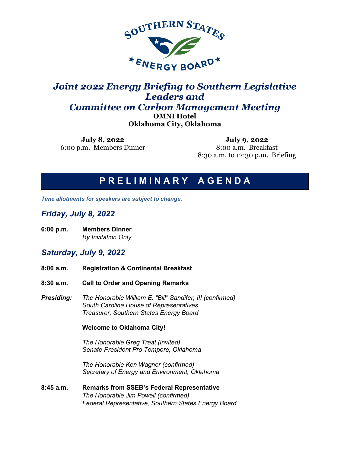

## *Joint 2022 Energy Briefing to Southern Legislative Leaders and Committee on Carbon Management Meeting*

**OMNI Hotel**

**Oklahoma City, Oklahoma**

**July 8, 2022** 6:00 p.m. Members Dinner

**July 9, 2022** 8:00 a.m. Breakfast 8:30 a.m. to 12:30 p.m. Briefing

# **P R E L I M I N A R Y A G E N D A**

*Time allotments for speakers are subject to change.*

### *Friday, July 8, 2022*

**6:00 p.m. Members Dinner**  *By Invitation Only*

### *Saturday, July 9, 2022*

- **8:00 a.m. Registration & Continental Breakfast**
- **8:30 a.m. Call to Order and Opening Remarks**
- *Presiding: The Honorable William E. "Bill" Sandifer, III (confirmed) South Carolina House of Representatives Treasurer, Southern States Energy Board*

### **Welcome to Oklahoma City!**

*The Honorable Greg Treat (invited) Senate President Pro Tempore, Oklahoma*

*The Honorable Ken Wagner (confirmed) Secretary of Energy and Environment, Oklahoma*

**8:45 a.m. Remarks from SSEB's Federal Representative**  *The Honorable Jim Powell (confirmed) Federal Representative, Southern States Energy Board*